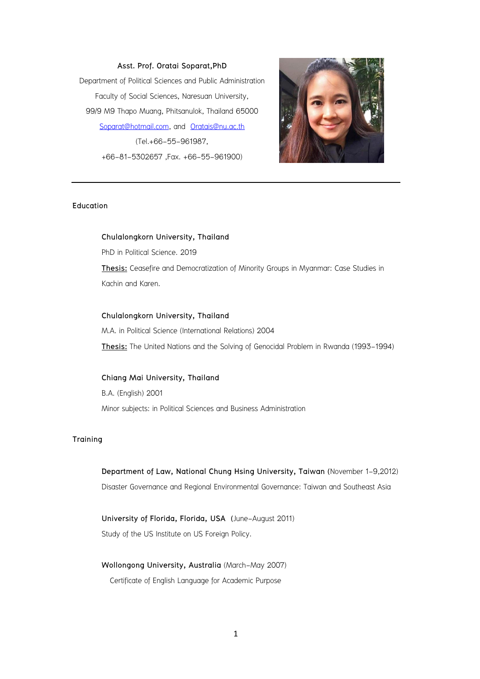**Asst. Prof. Oratai Soparat,PhD** Department of Political Sciences and Public Administration Faculty of Social Sciences, Naresuan University, 99/9 M9 Thapo Muang, Phitsanulok, Thailand 65000 [Soparat@hotmail.com,](mailto:Soparat@hotmail.com) and [Oratais@nu.ac.th](../../../oratais/AppData/Local/Packages/microsoft.windowscommunicationsapps_8wekyb3d8bbwe/LocalState/Files/AppData/Local/Temp/AppData/Local/Microsoft/Windows/Temporary%20Internet%20Files/Content.IE5/Local%20Settings/Temporary%20Internet%20Files/Content.IE5/AppData/Local/Microsoft/Windows/Users/DELL/AppData/Local/Microsoft/Windows/Temporary%20Internet%20Files/Content.IE5/Local%20Settings/Temporary%20Internet%20Files/Content.IE5/Local%20Settings/Temporary%20Internet%20Files/Content.IE5/Local%20Settings/Temporary%20Internet%20Files/Content.IE5/Local%20Settings/Temporary%20Internet%20Files/Content.IE5/Local%20Settings/Temporary%20Internet%20Files/Content.IE5/59GK777L/Oratais@nu.ac.th) (Tel.+66-55-961987, +66-81-5302657 ,Fax. +66-55-961900)



#### **Education**

## **Chulalongkorn University, Thailand**

PhD in Political Science. 2019 **Thesis:** Ceasefire and Democratization of Minority Groups in Myanmar: Case Studies in Kachin and Karen.

## **Chulalongkorn University, Thailand**

M.A. in Political Science (International Relations) 2004 **Thesis:** The United Nations and the Solving of Genocidal Problem in Rwanda (1993-1994)

## **Chiang Mai University, Thailand**

B.A. (English) 2001 Minor subjects: in Political Sciences and Business Administration

## **Training**

**Department of Law, National Chung Hsing University, Taiwan (**November 1-9,2012) Disaster Governance and Regional Environmental Governance: Taiwan and Southeast Asia

**University of Florida, Florida, USA (**June-August 2011) Study of the US Institute on US Foreign Policy.

## **Wollongong University, Australia** (March-May 2007)

Certificate of English Language for Academic Purpose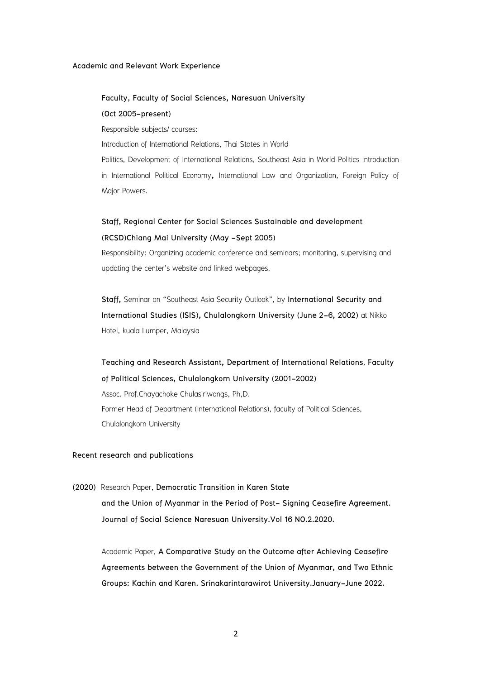#### **Academic and Relevant Work Experience**

#### **Faculty, Faculty of Social Sciences, Naresuan University**

#### **(Oct 2005-present)**

Responsible subjects/ courses:

Introduction of International Relations, Thai States in World

Politics, Development of International Relations, Southeast Asia in World Politics Introduction in International Political Economy**,** International Law and Organization, Foreign Policy of Major Powers.

# **Staff, Regional Center for Social Sciences Sustainable and development (RCSD)Chiang Mai University (May -Sept 2005)**

Responsibility: Organizing academic conference and seminars; monitoring, supervising and updating the center's website and linked webpages.

**Staff,** Seminar on "Southeast Asia Security Outlook", by **International Security and International Studies (ISIS), Chulalongkorn University (June 2-6, 2002)** at Nikko Hotel, kuala Lumper, Malaysia

**Teaching and Research Assistant, Department of International Relations**, **Faculty of Political Sciences, Chulalongkorn University (2001-2002)** Assoc. Prof.Chayachoke Chulasiriwongs, Ph,D. Former Head of Department (International Relations), faculty of Political Sciences, Chulalongkorn University

## **Recent research and publications**

**(2020)** Research Paper, **Democratic Transition in Karen State and the Union of Myanmar in the Period of Post- Signing Ceasefire Agreement. Journal of Social Science Naresuan University.Vol 16 NO.2.2020.**

Academic Paper, **A Comparative Study on the Outcome after Achieving Ceasefire Agreements between the Government of the Union of Myanmar, and Two Ethnic Groups: Kachin and Karen. Srinakarintarawirot University.January-June 2022.**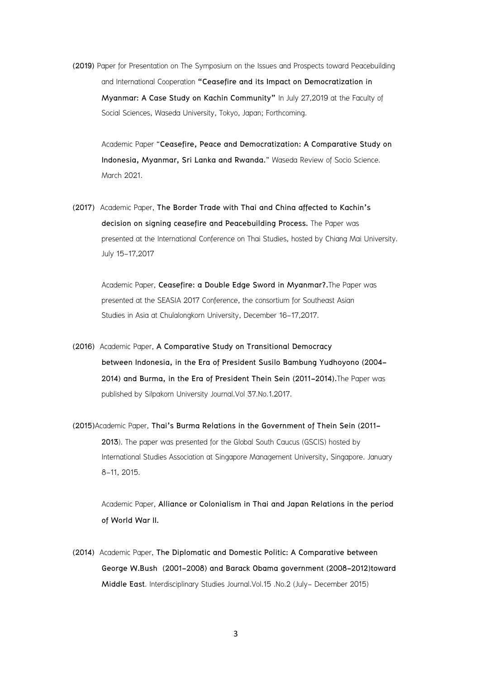**(2019)** Paper for Presentation on The Symposium on the Issues and Prospects toward Peacebuilding and International Cooperation **"Ceasefire and its Impact on Democratization in Myanmar: A Case Study on Kachin Community"** In July 27,2019 at the Faculty of Social Sciences, Waseda University, Tokyo, Japan; Forthcoming.

Academic Paper "**Ceasefire, Peace and Democratization: A Comparative Study on Indonesia, Myanmar, Sri Lanka and Rwanda.**" Waseda Review of Socio Science. March 2021.

**(2017)** Academic Paper, **The Border Trade with Thai and China affected to Kachin's decision on signing ceasefire and Peacebuilding Process.** The Paper was presented at the International Conference on Thai Studies, hosted by Chiang Mai University. July 15-17,2017

Academic Paper, **Ceasefire: a Double Edge Sword in Myanmar?.**The Paper was presented at the SEASIA 2017 Conference, the consortium for Southeast Asian Studies in Asia at Chulalongkorn University, December 16-17,2017.

- **(2016)** Academic Paper, **A Comparative Study on Transitional Democracy between Indonesia, in the Era of President Susilo Bambung Yudhoyono (2004- 2014) and Burma, in the Era of President Thein Sein (2011-2014).**The Paper was published by Silpakorn University Journal.Vol 37.No.1.2017.
- **(2015)**Academic Paper, **Thai's Burma Relations in the Government of Thein Sein (2011- 2013**). The paper was presented for the Global South Caucus (GSCIS) hosted by International Studies Association at Singapore Management University, Singapore. January 8-11, 2015.

Academic Paper, **Alliance or Colonialism in Thai and Japan Relations in the period of World War II.**

**(2014)** Academic Paper, **The Diplomatic and Domestic Politic: A Comparative between George W.Bush (2001-2008) and Barack Obama government (2008-2012)toward Middle East**. Interdisciplinary Studies Journal.Vol.15 .No.2 (July- December 2015)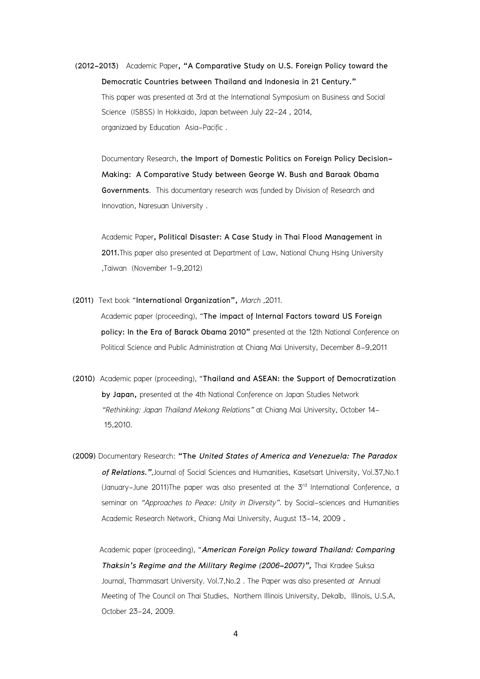**(2012-2013)** Academic Paper**, "A Comparative Study on U.S. Foreign Policy toward the Democratic Countries between Thailand and Indonesia in 21 Century."** This paper was presented at 3rd at the International Symposium on Business and Social Science (ISBSS) In Hokkaido, Japan between July 22-24 , 2014, organizaed by Education Asia-Pacific .

Documentary Research, **the Import of Domestic Politics on Foreign Policy Decision-Making: A Comparative Study between George W. Bush and Baraak Obama Governments**.This documentary research was funded by Division of Research and Innovation, Naresuan University .

Academic Paper**, Political Disaster: A Case Study in Thai Flood Management in 2011.**This paper also presented at Department of Law, National Chung Hsing University ,Taiwan (November 1-9,2012)

**(2011)** Text book "**International Organization",** *March ,*2011.

Academic paper (proceeding), "**The impact of Internal Factors toward US Foreign policy: In the Era of Barack Obama 2010"** presented at the 12th National Conference on Political Science and Public Administration at Chiang Mai University, December 8-9,2011

- **(2010)** Academic paper (proceeding), "**Thailand and ASEAN: the Support of Democratization by Japan,** presented at the 4th National Conference on Japan Studies Network *"Rethinking: Japan Thailand Mekong Relations"* at Chiang Mai University, October 14- 15,2010.
- **(2009)** Documentary Research: **"The** *United States of America and Venezuela: The Paradox of Relations."*,Journal of Social Sciences and Humanities, Kasetsart University, Vol.37,No.1 (January-June 2011)The paper was also presented at the 3<sup>rd</sup> International Conference, a seminar on *"Approaches to Peace: Unity in Diversity"*. by Social-sciences and Humanities Academic Research Network, Chiang Mai University, August 13-14, 2009 **.**

Academic paper (proceeding), "*American Foreign Policy toward Thailand: Comparing Thaksin's Regime and the Military Regime (2006-2007)",* Thai Kradee Suksa Journal, Thammasart University. Vol.7,No.2 . The Paper was also presented *at* Annual Meeting of The Council on Thai Studies, Northern Illinois University, Dekalb, Illinois, U.S.A, October 23-24, 2009.